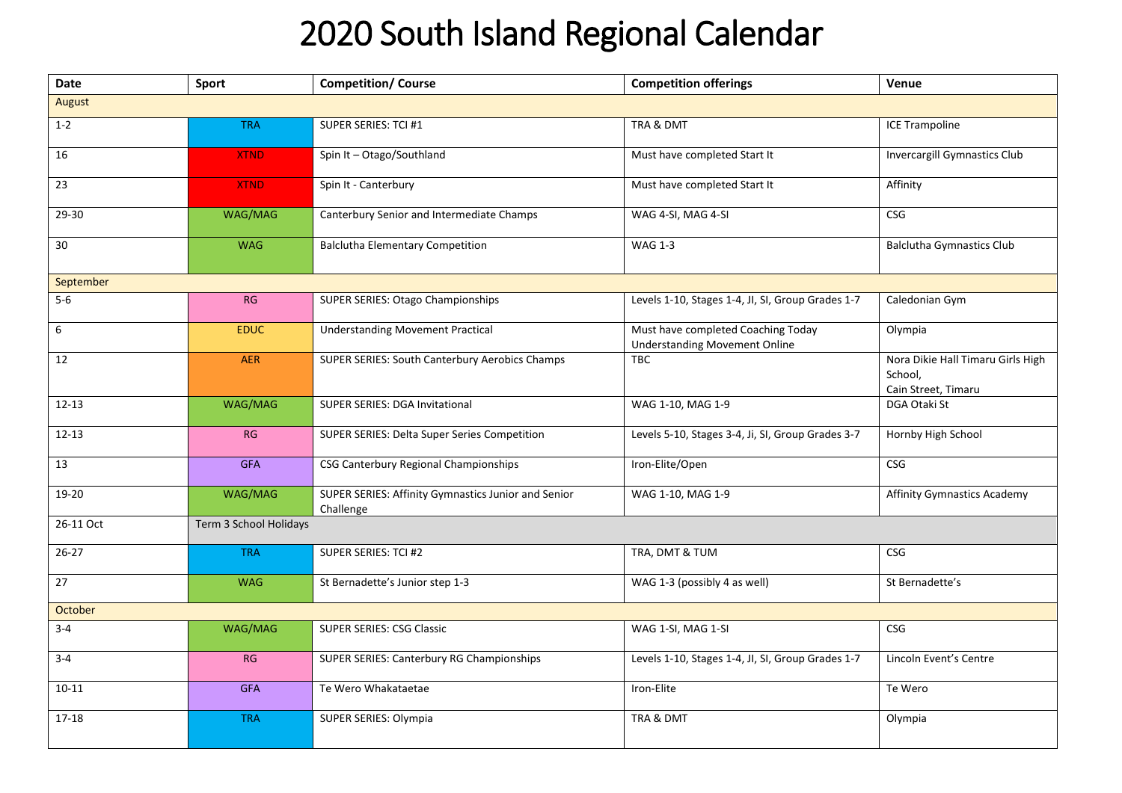## 2020 South Island Regional Calendar

| <b>Date</b>     | Sport                  | <b>Competition/ Course</b>                                       | <b>Competition offerings</b>                                               | Venue                                                               |  |  |  |
|-----------------|------------------------|------------------------------------------------------------------|----------------------------------------------------------------------------|---------------------------------------------------------------------|--|--|--|
| August          |                        |                                                                  |                                                                            |                                                                     |  |  |  |
| $1 - 2$         | <b>TRA</b>             | SUPER SERIES: TCI #1                                             | TRA & DMT                                                                  | <b>ICE Trampoline</b>                                               |  |  |  |
| 16              | <b>XTND</b>            | Spin It - Otago/Southland                                        | Must have completed Start It                                               | <b>Invercargill Gymnastics Club</b>                                 |  |  |  |
| 23              | <b>XTND</b>            | Spin It - Canterbury                                             | Must have completed Start It                                               | Affinity                                                            |  |  |  |
| 29-30           | WAG/MAG                | Canterbury Senior and Intermediate Champs                        | WAG 4-SI, MAG 4-SI                                                         | <b>CSG</b>                                                          |  |  |  |
| $30\,$          | <b>WAG</b>             | <b>Balclutha Elementary Competition</b>                          | <b>WAG 1-3</b>                                                             | <b>Balclutha Gymnastics Club</b>                                    |  |  |  |
| September       |                        |                                                                  |                                                                            |                                                                     |  |  |  |
| $5-6$           | RG                     | SUPER SERIES: Otago Championships                                | Levels 1-10, Stages 1-4, JI, SI, Group Grades 1-7                          | Caledonian Gym                                                      |  |  |  |
| 6               | <b>EDUC</b>            | <b>Understanding Movement Practical</b>                          | Must have completed Coaching Today<br><b>Understanding Movement Online</b> | Olympia                                                             |  |  |  |
| 12              | <b>AER</b>             | SUPER SERIES: South Canterbury Aerobics Champs                   | TBC                                                                        | Nora Dikie Hall Timaru Girls High<br>School,<br>Cain Street, Timaru |  |  |  |
| $12 - 13$       | WAG/MAG                | SUPER SERIES: DGA Invitational                                   | WAG 1-10, MAG 1-9                                                          | DGA Otaki St                                                        |  |  |  |
| $12 - 13$       | RG                     | SUPER SERIES: Delta Super Series Competition                     | Levels 5-10, Stages 3-4, Ji, SI, Group Grades 3-7                          | Hornby High School                                                  |  |  |  |
| $\overline{13}$ | <b>GFA</b>             | CSG Canterbury Regional Championships                            | Iron-Elite/Open                                                            | CSG                                                                 |  |  |  |
| 19-20           | WAG/MAG                | SUPER SERIES: Affinity Gymnastics Junior and Senior<br>Challenge | WAG 1-10, MAG 1-9                                                          | <b>Affinity Gymnastics Academy</b>                                  |  |  |  |
| 26-11 Oct       | Term 3 School Holidays |                                                                  |                                                                            |                                                                     |  |  |  |
| $26 - 27$       | <b>TRA</b>             | SUPER SERIES: TCI #2                                             | TRA, DMT & TUM                                                             | CSG                                                                 |  |  |  |
| $\overline{27}$ | <b>WAG</b>             | St Bernadette's Junior step 1-3                                  | WAG 1-3 (possibly 4 as well)                                               | St Bernadette's                                                     |  |  |  |
| October         |                        |                                                                  |                                                                            |                                                                     |  |  |  |
| $3 - 4$         | WAG/MAG                | <b>SUPER SERIES: CSG Classic</b>                                 | WAG 1-SI, MAG 1-SI                                                         | <b>CSG</b>                                                          |  |  |  |
| $3 - 4$         | RG                     | <b>SUPER SERIES: Canterbury RG Championships</b>                 | Levels 1-10, Stages 1-4, JI, SI, Group Grades 1-7                          | Lincoln Event's Centre                                              |  |  |  |
| $10 - 11$       | <b>GFA</b>             | Te Wero Whakataetae                                              | Iron-Elite                                                                 | Te Wero                                                             |  |  |  |
| $17 - 18$       | <b>TRA</b>             | SUPER SERIES: Olympia                                            | TRA & DMT                                                                  | Olympia                                                             |  |  |  |